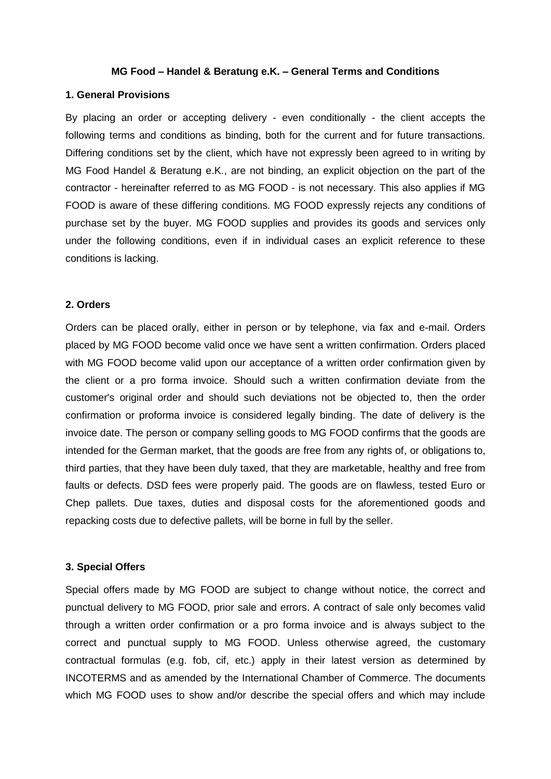#### **MG Food – Handel & Beratung e.K. – General Terms and Conditions**

#### **1. General Provisions**

By placing an order or accepting delivery - even conditionally - the client accepts the following terms and conditions as binding, both for the current and for future transactions. Differing conditions set by the client, which have not expressly been agreed to in writing by MG Food Handel & Beratung e.K., are not binding, an explicit objection on the part of the contractor - hereinafter referred to as MG FOOD - is not necessary. This also applies if MG FOOD is aware of these differing conditions. MG FOOD expressly rejects any conditions of purchase set by the buyer. MG FOOD supplies and provides its goods and services only under the following conditions, even if in individual cases an explicit reference to these conditions is lacking.

## **2. Orders**

Orders can be placed orally, either in person or by telephone, via fax and e-mail. Orders placed by MG FOOD become valid once we have sent a written confirmation. Orders placed with MG FOOD become valid upon our acceptance of a written order confirmation given by the client or a pro forma invoice. Should such a written confirmation deviate from the customer's original order and should such deviations not be objected to, then the order confirmation or proforma invoice is considered legally binding. The date of delivery is the invoice date. The person or company selling goods to MG FOOD confirms that the goods are intended for the German market, that the goods are free from any rights of, or obligations to, third parties, that they have been duly taxed, that they are marketable, healthy and free from faults or defects. DSD fees were properly paid. The goods are on flawless, tested Euro or Chep pallets. Due taxes, duties and disposal costs for the aforementioned goods and repacking costs due to defective pallets, will be borne in full by the seller.

## **3. Special Offers**

Special offers made by MG FOOD are subject to change without notice, the correct and punctual delivery to MG FOOD, prior sale and errors. A contract of sale only becomes valid through a written order confirmation or a pro forma invoice and is always subject to the correct and punctual supply to MG FOOD. Unless otherwise agreed, the customary contractual formulas (e.g. fob, cif, etc.) apply in their latest version as determined by INCOTERMS and as amended by the International Chamber of Commerce. The documents which MG FOOD uses to show and/or describe the special offers and which may include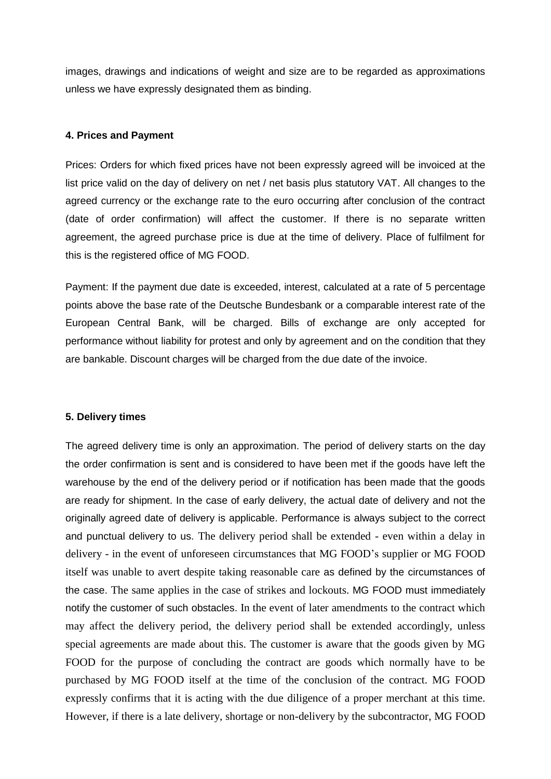images, drawings and indications of weight and size are to be regarded as approximations unless we have expressly designated them as binding.

# **4. Prices and Payment**

Prices: Orders for which fixed prices have not been expressly agreed will be invoiced at the list price valid on the day of delivery on net / net basis plus statutory VAT. All changes to the agreed currency or the exchange rate to the euro occurring after conclusion of the contract (date of order confirmation) will affect the customer. If there is no separate written agreement, the agreed purchase price is due at the time of delivery. Place of fulfilment for this is the registered office of MG FOOD.

Payment: If the payment due date is exceeded, interest, calculated at a rate of 5 percentage points above the base rate of the Deutsche Bundesbank or a comparable interest rate of the European Central Bank, will be charged. Bills of exchange are only accepted for performance without liability for protest and only by agreement and on the condition that they are bankable. Discount charges will be charged from the due date of the invoice.

## **5. Delivery times**

The agreed delivery time is only an approximation. The period of delivery starts on the day the order confirmation is sent and is considered to have been met if the goods have left the warehouse by the end of the delivery period or if notification has been made that the goods are ready for shipment. In the case of early delivery, the actual date of delivery and not the originally agreed date of delivery is applicable. Performance is always subject to the correct and punctual delivery to us. The delivery period shall be extended - even within a delay in delivery - in the event of unforeseen circumstances that MG FOOD's supplier or MG FOOD itself was unable to avert despite taking reasonable care as defined by the circumstances of the case. The same applies in the case of strikes and lockouts. MG FOOD must immediately notify the customer of such obstacles. In the event of later amendments to the contract which may affect the delivery period, the delivery period shall be extended accordingly, unless special agreements are made about this. The customer is aware that the goods given by MG FOOD for the purpose of concluding the contract are goods which normally have to be purchased by MG FOOD itself at the time of the conclusion of the contract. MG FOOD expressly confirms that it is acting with the due diligence of a proper merchant at this time. However, if there is a late delivery, shortage or non-delivery by the subcontractor, MG FOOD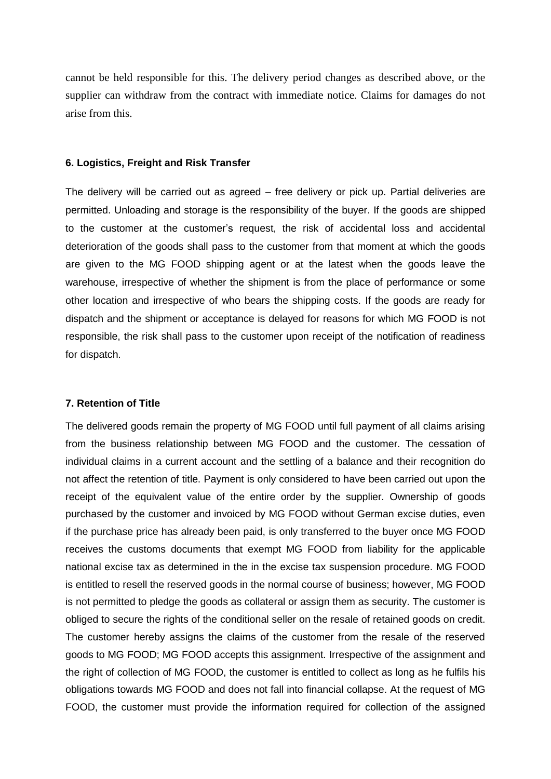cannot be held responsible for this. The delivery period changes as described above, or the supplier can withdraw from the contract with immediate notice. Claims for damages do not arise from this.

#### **6. Logistics, Freight and Risk Transfer**

The delivery will be carried out as agreed – free delivery or pick up. Partial deliveries are permitted. Unloading and storage is the responsibility of the buyer. If the goods are shipped to the customer at the customer's request, the risk of accidental loss and accidental deterioration of the goods shall pass to the customer from that moment at which the goods are given to the MG FOOD shipping agent or at the latest when the goods leave the warehouse, irrespective of whether the shipment is from the place of performance or some other location and irrespective of who bears the shipping costs. If the goods are ready for dispatch and the shipment or acceptance is delayed for reasons for which MG FOOD is not responsible, the risk shall pass to the customer upon receipt of the notification of readiness for dispatch.

## **7. Retention of Title**

The delivered goods remain the property of MG FOOD until full payment of all claims arising from the business relationship between MG FOOD and the customer. The cessation of individual claims in a current account and the settling of a balance and their recognition do not affect the retention of title. Payment is only considered to have been carried out upon the receipt of the equivalent value of the entire order by the supplier. Ownership of goods purchased by the customer and invoiced by MG FOOD without German excise duties, even if the purchase price has already been paid, is only transferred to the buyer once MG FOOD receives the customs documents that exempt MG FOOD from liability for the applicable national excise tax as determined in the in the excise tax suspension procedure. MG FOOD is entitled to resell the reserved goods in the normal course of business; however, MG FOOD is not permitted to pledge the goods as collateral or assign them as security. The customer is obliged to secure the rights of the conditional seller on the resale of retained goods on credit. The customer hereby assigns the claims of the customer from the resale of the reserved goods to MG FOOD; MG FOOD accepts this assignment. Irrespective of the assignment and the right of collection of MG FOOD, the customer is entitled to collect as long as he fulfils his obligations towards MG FOOD and does not fall into financial collapse. At the request of MG FOOD, the customer must provide the information required for collection of the assigned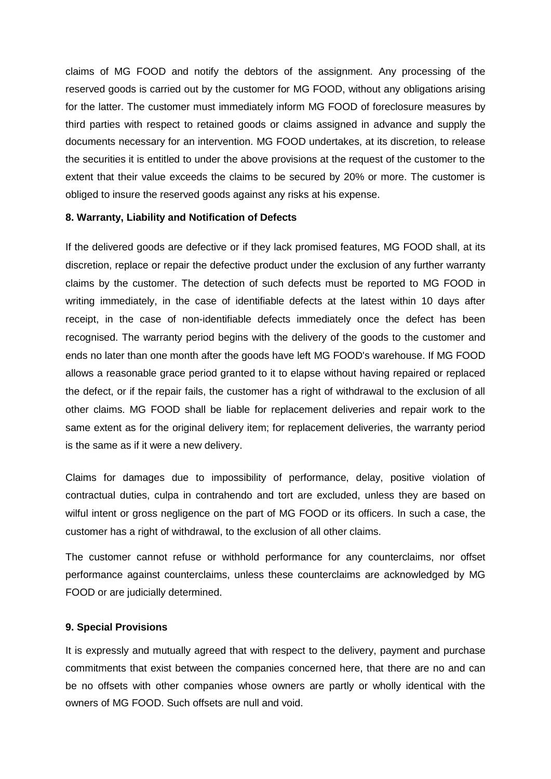claims of MG FOOD and notify the debtors of the assignment. Any processing of the reserved goods is carried out by the customer for MG FOOD, without any obligations arising for the latter. The customer must immediately inform MG FOOD of foreclosure measures by third parties with respect to retained goods or claims assigned in advance and supply the documents necessary for an intervention. MG FOOD undertakes, at its discretion, to release the securities it is entitled to under the above provisions at the request of the customer to the extent that their value exceeds the claims to be secured by 20% or more. The customer is obliged to insure the reserved goods against any risks at his expense.

# **8. Warranty, Liability and Notification of Defects**

If the delivered goods are defective or if they lack promised features, MG FOOD shall, at its discretion, replace or repair the defective product under the exclusion of any further warranty claims by the customer. The detection of such defects must be reported to MG FOOD in writing immediately, in the case of identifiable defects at the latest within 10 days after receipt, in the case of non-identifiable defects immediately once the defect has been recognised. The warranty period begins with the delivery of the goods to the customer and ends no later than one month after the goods have left MG FOOD's warehouse. If MG FOOD allows a reasonable grace period granted to it to elapse without having repaired or replaced the defect, or if the repair fails, the customer has a right of withdrawal to the exclusion of all other claims. MG FOOD shall be liable for replacement deliveries and repair work to the same extent as for the original delivery item; for replacement deliveries, the warranty period is the same as if it were a new delivery.

Claims for damages due to impossibility of performance, delay, positive violation of contractual duties, culpa in contrahendo and tort are excluded, unless they are based on wilful intent or gross negligence on the part of MG FOOD or its officers. In such a case, the customer has a right of withdrawal, to the exclusion of all other claims.

The customer cannot refuse or withhold performance for any counterclaims, nor offset performance against counterclaims, unless these counterclaims are acknowledged by MG FOOD or are judicially determined.

# **9. Special Provisions**

It is expressly and mutually agreed that with respect to the delivery, payment and purchase commitments that exist between the companies concerned here, that there are no and can be no offsets with other companies whose owners are partly or wholly identical with the owners of MG FOOD. Such offsets are null and void.